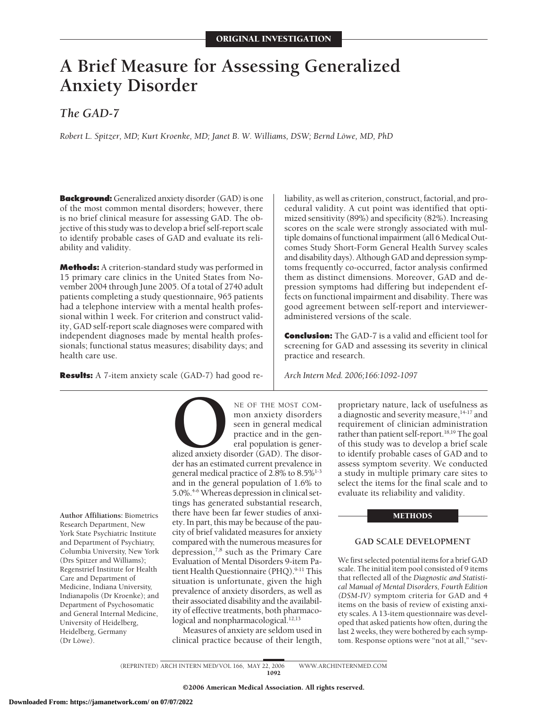# **A Brief Measure for Assessing Generalized Anxiety Disorder**

*The GAD-7*

*Robert L. Spitzer, MD; Kurt Kroenke, MD; Janet B. W. Williams, DSW; Bernd Löwe, MD, PhD* 

**Background:** Generalized anxiety disorder (GAD) is one of the most common mental disorders; however, there is no brief clinical measure for assessing GAD. The objective of this study was to develop a brief self-report scale to identify probable cases of GAD and evaluate its reliability and validity.

**Methods:** A criterion-standard study was performed in 15 primary care clinics in the United States from November 2004 through June 2005. Of a total of 2740 adult patients completing a study questionnaire, 965 patients had a telephone interview with a mental health professional within 1 week. For criterion and construct validity, GAD self-report scale diagnoses were compared with independent diagnoses made by mental health professionals; functional status measures; disability days; and health care use.

**Results:** A 7-item anxiety scale (GAD-7) had good re-

NE OF THE MOST COM-<br>
mon anxiety disorders<br>
seen in general medical<br>
practice and in the gen-<br>
eral population is gener-<br>
alized anxiety disorder (GAD). The disor-<br>
der has an estimated current prevalence in mon anxiety disorders seen in general medical practice and in the general population is gener-

alized anxiety disorder (GAD). The disorder has an estimated current prevalence in general medical practice of 2.8% to  $8.5\%$ <sup>1-3</sup> and in the general population of 1.6% to 5.0%.4-6 Whereas depression in clinical settings has generated substantial research, there have been far fewer studies of anxiety. In part, this may be because of the paucity of brief validated measures for anxiety compared with the numerous measures for depression, $^{7,8}$  such as the Primary Care Evaluation of Mental Disorders 9-item Patient Health Questionnaire (PHQ).<sup>9-11</sup> This situation is unfortunate, given the high prevalence of anxiety disorders, as well as their associated disability and the availability of effective treatments, both pharmacological and nonpharmacological.<sup>12,13</sup>

Measures of anxiety are seldom used in clinical practice because of their length,

liability, as well as criterion, construct, factorial, and procedural validity. A cut point was identified that optimized sensitivity (89%) and specificity (82%). Increasing scores on the scale were strongly associated with multiple domains of functional impairment (all 6 Medical Outcomes Study Short-Form General Health Survey scales and disability days). Although GAD and depression symptoms frequently co-occurred, factor analysis confirmed them as distinct dimensions. Moreover, GAD and depression symptoms had differing but independent effects on functional impairment and disability. There was good agreement between self-report and intervieweradministered versions of the scale.

**Conclusion:** The GAD-7 is a valid and efficient tool for screening for GAD and assessing its severity in clinical practice and research.

*Arch Intern Med. 2006;166:1092-1097*

proprietary nature, lack of usefulness as a diagnostic and severity measure,<sup>14-17</sup> and requirement of clinician administration rather than patient self-report.<sup>18,19</sup> The goal of this study was to develop a brief scale to identify probable cases of GAD and to assess symptom severity. We conducted a study in multiple primary care sites to select the items for the final scale and to evaluate its reliability and validity.

## **METHODS**

# **GAD SCALE DEVELOPMENT**

We first selected potential items for a brief GAD scale. The initial item pool consisted of 9 items that reflected all of the *Diagnostic and Statistical Manual of Mental Disorders, Fourth Edition (DSM-IV)* symptom criteria for GAD and 4 items on the basis of review of existing anxiety scales. A 13-item questionnaire was developed that asked patients how often, during the last 2 weeks, they were bothered by each symptom. Response options were "not at all," "sev-

**Author Affiliations:** Biometrics Research Department, New York State Psychiatric Institute and Department of Psychiatry, Columbia University, New York (Drs Spitzer and Williams); Regenstrief Institute for Health Care and Department of Medicine, Indiana University, Indianapolis (Dr Kroenke); and Department of Psychosomatic and General Internal Medicine, University of Heidelberg, Heidelberg, Germany (Dr Löwe).

(REPRINTED) ARCH INTERN MED/ VOL 166, MAY 22, 2006 WWW.ARCHINTERNMED.COM

1092

©2006 American Medical Association. All rights reserved.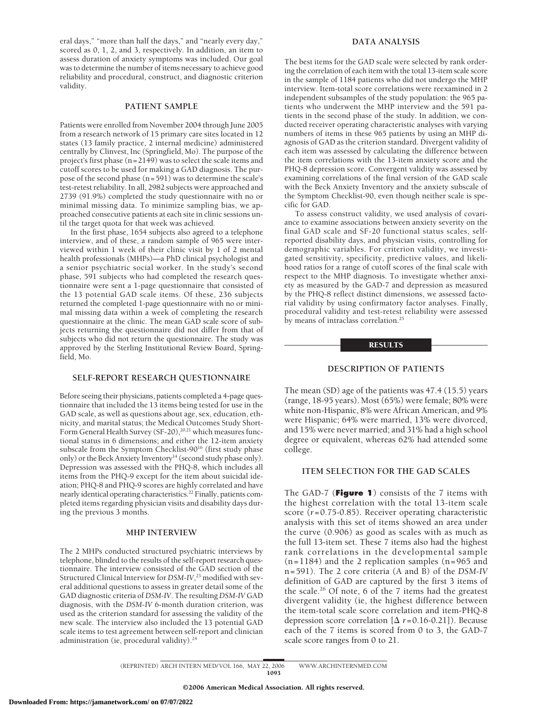eral days," "more than half the days," and "nearly every day," scored as 0, 1, 2, and 3, respectively. In addition, an item to assess duration of anxiety symptoms was included. Our goal was to determine the number of items necessary to achieve good reliability and procedural, construct, and diagnostic criterion validity.

## **PATIENT SAMPLE**

Patients were enrolled from November 2004 through June 2005 from a research network of 15 primary care sites located in 12 states (13 family practice, 2 internal medicine) administered centrally by Clinvest, Inc (Springfield, Mo). The purpose of the project's first phase (n=2149) was to select the scale items and cutoff scores to be used for making a GAD diagnosis. The purpose of the second phase (n=591) was to determine the scale's test-retest reliability. In all, 2982 subjects were approached and 2739 (91.9%) completed the study questionnaire with no or minimal missing data. To minimize sampling bias, we approached consecutive patients at each site in clinic sessions until the target quota for that week was achieved.

In the first phase, 1654 subjects also agreed to a telephone interview, and of these, a random sample of 965 were interviewed within 1 week of their clinic visit by 1 of 2 mental health professionals (MHPs)—a PhD clinical psychologist and a senior psychiatric social worker. In the study's second phase, 591 subjects who had completed the research questionnaire were sent a 1-page questionnaire that consisted of the 13 potential GAD scale items. Of these, 236 subjects returned the completed 1-page questionnaire with no or minimal missing data within a week of completing the research questionnaire at the clinic. The mean GAD scale score of subjects returning the questionnaire did not differ from that of subjects who did not return the questionnaire. The study was approved by the Sterling Institutional Review Board, Springfield, Mo.

## **SELF-REPORT RESEARCH QUESTIONNAIRE**

Before seeing their physicians, patients completed a 4-page questionnaire that included the 13 items being tested for use in the GAD scale, as well as questions about age, sex, education, ethnicity, and marital status; the Medical Outcomes Study Short-Form General Health Survey (SF-20),<sup>20,21</sup> which measures functional status in 6 dimensions; and either the 12-item anxiety subscale from the Symptom Checklist-90<sup>16</sup> (first study phase only) or the Beck Anxiety Inventory<sup>14</sup> (second study phase only). Depression was assessed with the PHQ-8, which includes all items from the PHQ-9 except for the item about suicidal ideation; PHQ-8 and PHQ-9 scores are highly correlated and have nearly identical operating characteristics.22 Finally, patients completed items regarding physician visits and disability days during the previous 3 months.

## **MHP INTERVIEW**

The 2 MHPs conducted structured psychiatric interviews by telephone, blinded to the results of the self-report research questionnaire. The interview consisted of the GAD section of the Structured Clinical Interview for *DSM-IV*, <sup>23</sup> modified with several additional questions to assess in greater detail some of the GAD diagnostic criteria of *DSM-IV*. The resulting *DSM-IV* GAD diagnosis, with the *DSM-IV* 6-month duration criterion, was used as the criterion standard for assessing the validity of the new scale. The interview also included the 13 potential GAD scale items to test agreement between self-report and clinician administration (ie, procedural validity).<sup>24</sup>

## **DATA ANALYSIS**

The best items for the GAD scale were selected by rank ordering the correlation of each item with the total 13-item scale score in the sample of 1184 patients who did not undergo the MHP interview. Item-total score correlations were reexamined in 2 independent subsamples of the study population: the 965 patients who underwent the MHP interview and the 591 patients in the second phase of the study. In addition, we conducted receiver operating characteristic analyses with varying numbers of items in these 965 patients by using an MHP diagnosis of GAD as the criterion standard. Divergent validity of each item was assessed by calculating the difference between the item correlations with the 13-item anxiety score and the PHQ-8 depression score. Convergent validity was assessed by examining correlations of the final version of the GAD scale with the Beck Anxiety Inventory and the anxiety subscale of the Symptom Checklist-90, even though neither scale is specific for GAD.

To assess construct validity, we used analysis of covariance to examine associations between anxiety severity on the final GAD scale and SF-20 functional status scales, selfreported disability days, and physician visits, controlling for demographic variables. For criterion validity, we investigated sensitivity, specificity, predictive values, and likelihood ratios for a range of cutoff scores of the final scale with respect to the MHP diagnosis. To investigate whether anxiety as measured by the GAD-7 and depression as measured by the PHQ-8 reflect distinct dimensions, we assessed factorial validity by using confirmatory factor analyses. Finally, procedural validity and test-retest reliability were assessed by means of intraclass correlation.<sup>25</sup>

## **RESULTS**

# **DESCRIPTION OF PATIENTS**

The mean (SD) age of the patients was 47.4 (15.5) years (range, 18-95 years). Most (65%) were female; 80% were white non-Hispanic, 8% were African American, and 9% were Hispanic; 64% were married, 13% were divorced, and 15% were never married; and 31% had a high school degree or equivalent, whereas 62% had attended some college.

# **ITEM SELECTION FOR THE GAD SCALES**

The GAD-7 (**Figure 1**) consists of the 7 items with the highest correlation with the total 13-item scale score (*r*=0.75-0.85). Receiver operating characteristic analysis with this set of items showed an area under the curve (0.906) as good as scales with as much as the full 13-item set. These 7 items also had the highest rank correlations in the developmental sample  $(n=1184)$  and the 2 replication samples  $(n=965)$  and n=591). The 2 core criteria (A and B) of the *DSM-IV* definition of GAD are captured by the first 3 items of the scale.<sup>26</sup> Of note, 6 of the 7 items had the greatest divergent validity (ie, the highest difference between the item-total scale score correlation and item-PHQ-8 depression score correlation  $[\Delta r=0.16-0.21]$ ). Because each of the 7 items is scored from 0 to 3, the GAD-7 scale score ranges from 0 to 21.

(REPRINTED) ARCH INTERN MED/ VOL 166, MAY 22, 2006 WWW.ARCHINTERNMED.COM 1093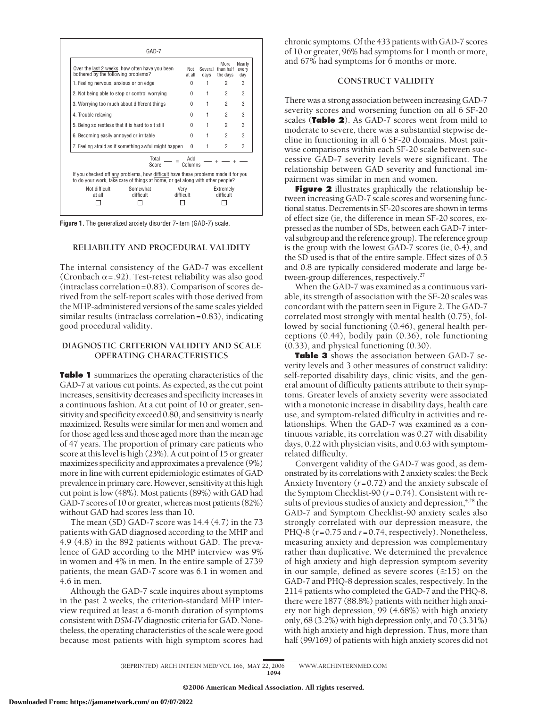| Over the last 2 weeks, how often have you been<br>bothered by the following problems? |                                                                                                      | Not<br>at all     | Several<br>davs | More<br>than half<br>the days | Nearly<br>every<br>dav |
|---------------------------------------------------------------------------------------|------------------------------------------------------------------------------------------------------|-------------------|-----------------|-------------------------------|------------------------|
| 1. Feeling nervous, anxious or on edge                                                |                                                                                                      | U                 | 1               | 2                             | 3                      |
| 2. Not being able to stop or control worrying                                         | <sup>0</sup>                                                                                         | 1                 | 2               | 3                             |                        |
| 3. Worrying too much about different things                                           | <sup>0</sup>                                                                                         | 1                 | 2               | 3                             |                        |
| 4. Trouble relaxing                                                                   |                                                                                                      |                   | 1               | $\overline{2}$                | 3                      |
| 5. Being so restless that it is hard to sit still                                     |                                                                                                      |                   | 1               | 2                             | 3                      |
| 6. Becoming easily annoyed or irritable                                               |                                                                                                      |                   | 1               | $\overline{2}$                | 3                      |
| 7. Feeling afraid as if something awful might happen                                  |                                                                                                      |                   | 1               | 2                             | 3                      |
|                                                                                       | Total<br>Score<br>If you checked off any problems, how difficult have these problems made it for you | hhA<br>Columns    |                 |                               |                        |
|                                                                                       | to do your work, take care of things at home, or get along with other people?                        |                   |                 |                               |                        |
| Not difficult<br>at all                                                               | Somewhat<br>difficult                                                                                | Verv<br>difficult |                 | Extremely<br>difficult        |                        |

**Figure 1.** The generalized anxiety disorder 7-item (GAD-7) scale.

## **RELIABILITY AND PROCEDURAL VALIDITY**

The internal consistency of the GAD-7 was excellent (Cronbach  $\alpha$  = .92). Test-retest reliability was also good (intraclass correlation=0.83). Comparison of scores derived from the self-report scales with those derived from the MHP-administered versions of the same scales yielded similar results (intraclass correlation=0.83), indicating good procedural validity.

## **DIAGNOSTIC CRITERION VALIDITY AND SCALE OPERATING CHARACTERISTICS**

**Table 1** summarizes the operating characteristics of the GAD-7 at various cut points. As expected, as the cut point increases, sensitivity decreases and specificity increases in a continuous fashion. At a cut point of 10 or greater, sensitivity and specificity exceed 0.80, and sensitivity is nearly maximized. Results were similar for men and women and for those aged less and those aged more than the mean age of 47 years. The proportion of primary care patients who score at this level is high (23%). A cut point of 15 or greater maximizes specificity and approximates a prevalence (9%) more in line with current epidemiologic estimates of GAD prevalence in primary care. However, sensitivity at this high cut point is low (48%). Most patients (89%) with GAD had GAD-7 scores of 10 or greater, whereas most patients (82%) without GAD had scores less than 10.

The mean (SD) GAD-7 score was 14.4 (4.7) in the 73 patients with GAD diagnosed according to the MHP and 4.9 (4.8) in the 892 patients without GAD. The prevalence of GAD according to the MHP interview was 9% in women and 4% in men. In the entire sample of 2739 patients, the mean GAD-7 score was 6.1 in women and 4.6 in men.

Although the GAD-7 scale inquires about symptoms in the past 2 weeks, the criterion-standard MHP interview required at least a 6-month duration of symptoms consistent with*DSM-IV*diagnostic criteria for GAD. Nonetheless, the operating characteristics of the scale were good because most patients with high symptom scores had chronic symptoms. Of the 433 patients with GAD-7 scores of 10 or greater, 96% had symptoms for 1 month or more, and 67% had symptoms for 6 months or more.

## **CONSTRUCT VALIDITY**

There was a strong association between increasing GAD-7 severity scores and worsening function on all 6 SF-20 scales (**Table 2**). As GAD-7 scores went from mild to moderate to severe, there was a substantial stepwise decline in functioning in all 6 SF-20 domains. Most pairwise comparisons within each SF-20 scale between successive GAD-7 severity levels were significant. The relationship between GAD severity and functional impairment was similar in men and women.

**Figure 2** illustrates graphically the relationship between increasing GAD-7 scale scores and worsening functional status. Decrements in SF-20 scores are shown in terms of effect size (ie, the difference in mean SF-20 scores, expressed as the number of SDs, between each GAD-7 interval subgroup and the reference group). The reference group is the group with the lowest GAD-7 scores (ie, 0-4), and the SD used is that of the entire sample. Effect sizes of 0.5 and 0.8 are typically considered moderate and large between-group differences, respectively.<sup>27</sup>

When the GAD-7 was examined as a continuous variable, its strength of association with the SF-20 scales was concordant with the pattern seen in Figure 2. The GAD-7 correlated most strongly with mental health (0.75), followed by social functioning (0.46), general health perceptions (0.44), bodily pain (0.36), role functioning (0.33), and physical functioning (0.30).

**Table 3** shows the association between GAD-7 severity levels and 3 other measures of construct validity: self-reported disability days, clinic visits, and the general amount of difficulty patients attribute to their symptoms. Greater levels of anxiety severity were associated with a monotonic increase in disability days, health care use, and symptom-related difficulty in activities and relationships. When the GAD-7 was examined as a continuous variable, its correlation was 0.27 with disability days, 0.22 with physician visits, and 0.63 with symptomrelated difficulty.

Convergent validity of the GAD-7 was good, as demonstrated by its correlations with 2 anxiety scales: the Beck Anxiety Inventory (*r*=0.72) and the anxiety subscale of the Symptom Checklist-90 (*r*=0.74). Consistent with results of previous studies of anxiety and depression,<sup>4,28</sup> the GAD-7 and Symptom Checklist-90 anxiety scales also strongly correlated with our depression measure, the PHQ-8 (*r*=0.75 and *r*=0.74, respectively). Nonetheless, measuring anxiety and depression was complementary rather than duplicative. We determined the prevalence of high anxiety and high depression symptom severity in our sample, defined as severe scores  $(\geq 15)$  on the GAD-7 and PHQ-8 depression scales, respectively. In the 2114 patients who completed the GAD-7 and the PHQ-8, there were 1877 (88.8%) patients with neither high anxiety nor high depression, 99 (4.68%) with high anxiety only, 68 (3.2%) with high depression only, and 70 (3.31%) with high anxiety and high depression. Thus, more than half (99/169) of patients with high anxiety scores did not

(REPRINTED) ARCH INTERN MED/ VOL 166, MAY 22, 2006 WWW.ARCHINTERNMED.COM 1094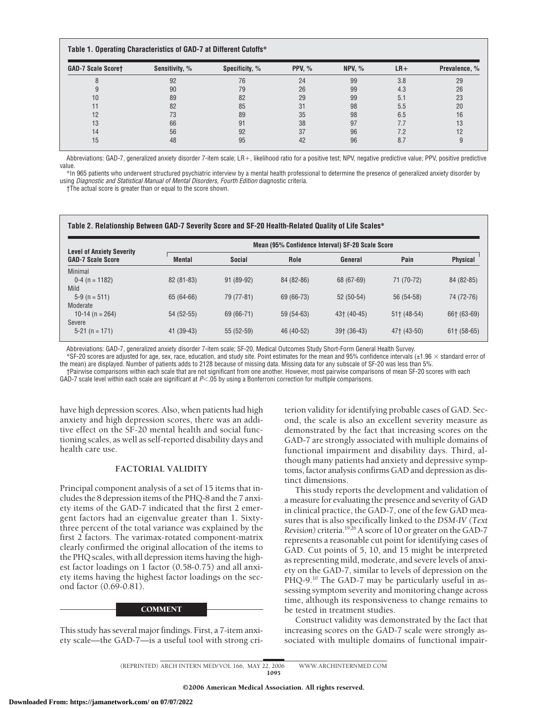## **Table 1. Operating Characteristics of GAD-7 at Different Cutoffs\***

| <b>GAD-7 Scale Scoret</b> | Sensitivity, % | Specificity, % | PPV, $%$ | NPV, $%$ | $LR+$ | Prevalence, % |
|---------------------------|----------------|----------------|----------|----------|-------|---------------|
|                           | 92             | 76             | 24       | 99       | 3.8   | 29            |
|                           | 90             | 79             | 26       | 99       | 4.3   | 26            |
| 10                        | 89             | 82             | 29       | 99       | 5.1   | 23            |
|                           | 82             | 85             | 31       | 98       | 5.5   | 20            |
| 12                        | 73             | 89             | 35       | 98       | 6.5   | 16            |
| 13                        | 66             | 91             | 38       | 97       | 7.7   | 13            |
| 14                        | 56             | 92             | 37       | 96       | 7.2   | 12            |
| 15                        | 48             | 95             | 42       | 96       | 8.7   |               |

Abbreviations: GAD-7, generalized anxiety disorder 7-item scale; LR+, likelihood ratio for a positive test; NPV, negative predictive value; PPV, positive predictive value.

\*In 965 patients who underwent structured psychiatric interview by a mental health professional to determine the presence of generalized anxiety disorder by using *Diagnostic and Statistical Manual of Mental Disorders, Fourth Edition* diagnostic criteria.

†The actual score is greater than or equal to the score shown.

#### **Table 2. Relationship Between GAD-7 Severity Score and SF-20 Health-Related Quality of Life Scales\***

|                                                              | Mean (95% Confidence Interval) SF-20 Scale Score |               |             |               |               |                 |
|--------------------------------------------------------------|--------------------------------------------------|---------------|-------------|---------------|---------------|-----------------|
| <b>Level of Anxiety Severity</b><br><b>GAD-7 Scale Score</b> | <b>Mental</b>                                    | <b>Social</b> | Role        | General       | Pain          | <b>Physical</b> |
| Minimal                                                      |                                                  |               |             |               |               |                 |
| $0-4$ (n = 1182)                                             | $82(81-83)$                                      | $91(89-92)$   | 84 (82-86)  | 68 (67-69)    | 71 (70-72)    | 84 (82-85)      |
| Mild                                                         |                                                  |               |             |               |               |                 |
| $5-9$ (n = 511)                                              | 65 (64-66)                                       | 79 (77-81)    | 69 (66-73)  | $52(50-54)$   | 56 (54-58)    | 74 (72-76)      |
| Moderate                                                     |                                                  |               |             |               |               |                 |
| 10-14 (n = $264$ )                                           | 54 (52-55)                                       | 69 (66-71)    | $59(54-63)$ | 43† (40-45)   | $51+$ (48-54) | 66† (63-69)     |
| Severe                                                       |                                                  |               |             |               |               |                 |
| $5-21$ (n = 171)                                             | 41 (39-43)                                       | $55(52-59)$   | 46 (40-52)  | $39+$ (36-43) | 47† (43-50)   | $61$ (58-65)    |

Abbreviations: GAD-7, generalized anxiety disorder 7-item scale; SF-20, Medical Outcomes Study Short-Form General Health Survey.

 $*$ SF-20 scores are adjusted for age, sex, race, education, and study site. Point estimates for the mean and 95% confidence intervals (±1.96  $\times$  standard error of the mean) are displayed. Number of patients adds to 2128 because of missing data. Missing data for any subscale of SF-20 was less than 5%.

†Pairwise comparisons within each scale that are not significant from one another. However, most pairwise comparisons of mean SF-20 scores with each GAD-7 scale level within each scale are significant at P<.05 by using a Bonferroni correction for multiple comparisons.

have high depression scores. Also, when patients had high anxiety and high depression scores, there was an additive effect on the SF-20 mental health and social functioning scales, as well as self-reported disability days and health care use.

## **FACTORIAL VALIDITY**

Principal component analysis of a set of 15 items that includes the 8 depression items of the PHQ-8 and the 7 anxiety items of the GAD-7 indicated that the first 2 emergent factors had an eigenvalue greater than 1. Sixtythree percent of the total variance was explained by the first 2 factors. The varimax-rotated component-matrix clearly confirmed the original allocation of the items to the PHQ scales, with all depression items having the highest factor loadings on 1 factor (0.58-0.75) and all anxiety items having the highest factor loadings on the second factor (0.69-0.81).

## **COMMENT**

This study has several major findings. First, a 7-item anxiety scale—the GAD-7—is a useful tool with strong criterion validity for identifying probable cases of GAD. Second, the scale is also an excellent severity measure as demonstrated by the fact that increasing scores on the GAD-7 are strongly associated with multiple domains of functional impairment and disability days. Third, although many patients had anxiety and depressive symptoms, factor analysis confirms GAD and depression as distinct dimensions.

This study reports the development and validation of a measure for evaluating the presence and severity of GAD in clinical practice, the GAD-7, one of the few GAD measures that is also specifically linked to the *DSM-IV (Text Revision)* criteria.19,26A score of 10 or greater on the GAD-7 represents a reasonable cut point for identifying cases of GAD. Cut points of 5, 10, and 15 might be interpreted as representing mild, moderate, and severe levels of anxiety on the GAD-7, similar to levels of depression on the PHQ-9.<sup>10</sup> The GAD-7 may be particularly useful in assessing symptom severity and monitoring change across time, although its responsiveness to change remains to be tested in treatment studies.

Construct validity was demonstrated by the fact that increasing scores on the GAD-7 scale were strongly associated with multiple domains of functional impair-

(REPRINTED) ARCH INTERN MED/ VOL 166, MAY 22, 2006 WWW.ARCHINTERNMED.COM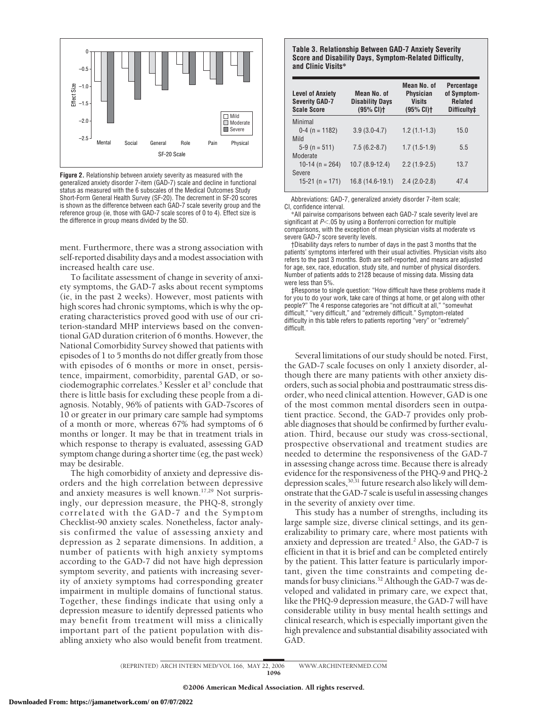

**Figure 2.** Relationship between anxiety severity as measured with the generalized anxiety disorder 7-item (GAD-7) scale and decline in functional status as measured with the 6 subscales of the Medical Outcomes Study Short-Form General Health Survey (SF-20). The decrement in SF-20 scores is shown as the difference between each GAD-7 scale severity group and the reference group (ie, those with GAD-7 scale scores of 0 to 4). Effect size is the difference in group means divided by the SD.

ment. Furthermore, there was a strong association with self-reported disability days and a modest association with increased health care use.

To facilitate assessment of change in severity of anxiety symptoms, the GAD-7 asks about recent symptoms (ie, in the past 2 weeks). However, most patients with high scores had chronic symptoms, which is why the operating characteristics proved good with use of our criterion-standard MHP interviews based on the conventional GAD duration criterion of 6 months. However, the National Comorbidity Survey showed that patients with episodes of 1 to 5 months do not differ greatly from those with episodes of 6 months or more in onset, persistence, impairment, comorbidity, parental GAD, or sociodemographic correlates.<sup>5</sup> Kessler et al<sup>5</sup> conclude that there is little basis for excluding these people from a diagnosis. Notably, 96% of patients with GAD-7scores of 10 or greater in our primary care sample had symptoms of a month or more, whereas 67% had symptoms of 6 months or longer. It may be that in treatment trials in which response to therapy is evaluated, assessing GAD symptom change during a shorter time (eg, the past week) may be desirable.

The high comorbidity of anxiety and depressive disorders and the high correlation between depressive and anxiety measures is well known.17,29 Not surprisingly, our depression measure, the PHQ-8, strongly correlated with the GAD-7 and the Symptom Checklist-90 anxiety scales. Nonetheless, factor analysis confirmed the value of assessing anxiety and depression as 2 separate dimensions. In addition, a number of patients with high anxiety symptoms according to the GAD-7 did not have high depression symptom severity, and patients with increasing severity of anxiety symptoms had corresponding greater impairment in multiple domains of functional status. Together, these findings indicate that using only a depression measure to identify depressed patients who may benefit from treatment will miss a clinically important part of the patient population with disabling anxiety who also would benefit from treatment.

**Table 3. Relationship Between GAD-7 Anxiety Severity Score and Disability Days, Symptom-Related Difficulty, and Clinic Visits\***

| <b>Level of Anxiety</b><br><b>Severity GAD-7</b><br><b>Scale Score</b> | Mean No. of<br><b>Disability Days</b><br>(95% CI) | Mean No. of<br><b>Physician</b><br><b>Visits</b><br>$(95% CI)$ <sup>+</sup> | <b>Percentage</b><br>of Symptom-<br><b>Related</b><br>Difficulty# |
|------------------------------------------------------------------------|---------------------------------------------------|-----------------------------------------------------------------------------|-------------------------------------------------------------------|
| Minimal                                                                |                                                   |                                                                             |                                                                   |
| $0-4$ (n = 1182)                                                       | $3.9(3.0-4.7)$                                    | $1.2(1.1-1.3)$                                                              | 15.0                                                              |
| Mild<br>$5-9$ (n = 511)<br>Moderate                                    | $7.5(6.2-8.7)$                                    | $1.7(1.5-1.9)$                                                              | 5.5                                                               |
| 10-14 (n = 264)                                                        | 10.7 (8.9-12.4)                                   | $2.2(1.9-2.5)$                                                              | 13.7                                                              |
| Severe<br>15-21 (n = 171)                                              | 16.8 (14.6-19.1)                                  | $2.4(2.0-2.8)$                                                              | 474                                                               |

Abbreviations: GAD-7, generalized anxiety disorder 7-item scale; CI, confidence interval.

\*All pairwise comparisons between each GAD-7 scale severity level are significant at  $P$  < 05 by using a Bonferroni correction for multiple comparisons, with the exception of mean physician visits at moderate vs severe GAD-7 score severity levels.

†Disability days refers to number of days in the past 3 months that the patients' symptoms interfered with their usual activities. Physician visits also refers to the past 3 months. Both are self-reported, and means are adjusted for age, sex, race, education, study site, and number of physical disorders. Number of patients adds to 2128 because of missing data. Missing data were less than 5%.

‡Response to single question: "How difficult have these problems made it for you to do your work, take care of things at home, or get along with other people?" The 4 response categories are "not difficult at all," "somewhat difficult," "very difficult," and "extremely difficult." Symptom-related difficulty in this table refers to patients reporting "very" or "extremely" difficult.

Several limitations of our study should be noted. First, the GAD-7 scale focuses on only 1 anxiety disorder, although there are many patients with other anxiety disorders, such as social phobia and posttraumatic stress disorder, who need clinical attention. However, GAD is one of the most common mental disorders seen in outpatient practice. Second, the GAD-7 provides only probable diagnoses that should be confirmed by further evaluation. Third, because our study was cross-sectional, prospective observational and treatment studies are needed to determine the responsiveness of the GAD-7 in assessing change across time. Because there is already evidence for the responsiveness of the PHQ-9 and PHQ-2 depression scales,  $30,31$  future research also likely will demonstrate that the GAD-7 scale is useful in assessing changes in the severity of anxiety over time.

This study has a number of strengths, including its large sample size, diverse clinical settings, and its generalizability to primary care, where most patients with anxiety and depression are treated.<sup>2</sup> Also, the GAD-7 is efficient in that it is brief and can be completed entirely by the patient. This latter feature is particularly important, given the time constraints and competing demands for busy clinicians.<sup>32</sup> Although the GAD-7 was developed and validated in primary care, we expect that, like the PHQ-9 depression measure, the GAD-7 will have considerable utility in busy mental health settings and clinical research, which is especially important given the high prevalence and substantial disability associated with GAD.

(REPRINTED) ARCH INTERN MED/ VOL 166, MAY 22, 2006 WWW.ARCHINTERNMED.COM 1096